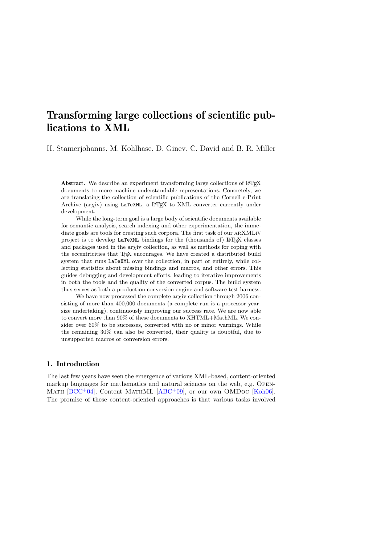# Transforming large collections of scientific publications to XML

H. Stamerjohanns, M. Kohlhase, D. Ginev, C. David and B. R. Miller

Abstract. We describe an experiment transforming large collections of LATEX documents to more machine-understandable representations. Concretely, we are translating the collection of scientific publications of the Cornell e-Print Archive  $(\text{arxiv})$  using LaTeXML, a L<sup>AT</sup>FX to XML converter currently under development.

While the long-term goal is a large body of scientific documents available for semantic analysis, search indexing and other experimentation, the immediate goals are tools for creating such corpora. The first task of our arXMLiv project is to develop LaTeXML bindings for the (thousands of) LAT<sub>E</sub>X classes and packages used in the arxiv collection, as well as methods for coping with the eccentricities that TEX encourages. We have created a distributed build system that runs LaTeXML over the collection, in part or entirely, while collecting statistics about missing bindings and macros, and other errors. This guides debugging and development efforts, leading to iterative improvements in both the tools and the quality of the converted corpus. The build system thus serves as both a production conversion engine and software test harness.

We have now processed the complete ar $\chi$ iv collection through 2006 consisting of more than 400,000 documents (a complete run is a processor-yearsize undertaking), continuously improving our success rate. We are now able to convert more than 90% of these documents to XHTML+MathML. We consider over 60% to be successes, converted with no or minor warnings. While the remaining 30% can also be converted, their quality is doubtful, due to unsupported macros or conversion errors.

### 1. Introduction

The last few years have seen the emergence of various XML-based, content-oriented markup languages for mathematics and natural sciences on the web, e.g. Open-MATH  $[BCC^+04]$  $[BCC^+04]$ , Content MATHML  $[ABC^+09]$  $[ABC^+09]$ , or our own OMDoc  $[Koh06]$ . The promise of these content-oriented approaches is that various tasks involved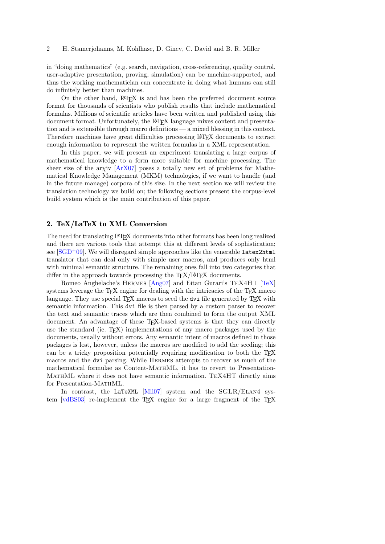in "doing mathematics" (e.g. search, navigation, cross-referencing, quality control, user-adaptive presentation, proving, simulation) can be machine-supported, and thus the working mathematician can concentrate in doing what humans can still do infinitely better than machines.

On the other hand, LAT<sub>EX</sub> is and has been the preferred document source format for thousands of scientists who publish results that include mathematical formulas. Millions of scientific articles have been written and published using this document format. Unfortunately, the LATEX language mixes content and presentation and is extensible through macro definitions — a mixed blessing in this context. Therefore machines have great difficulties processing LATEX documents to extract enough information to represent the written formulas in a XML representation.

In this paper, we will present an experiment translating a large corpus of mathematical knowledge to a form more suitable for machine processing. The sheer size of the arxiv  $[ArX07]$  poses a totally new set of problems for Mathematical Knowledge Management (MKM) technologies, if we want to handle (and in the future manage) corpora of this size. In the next section we will review the translation technology we build on; the following sections present the corpus-level build system which is the main contribution of this paper.

### <span id="page-1-0"></span>2. TeX/LaTeX to XML Conversion

The need for translating LATEX documents into other formats has been long realized and there are various tools that attempt this at different levels of sophistication; see  $\text{[SGD+09]}$  $\text{[SGD+09]}$  $\text{[SGD+09]}$ . We will disregard simple approaches like the venerable latex2html translator that can deal only with simple user macros, and produces only html with minimal semantic structure. The remaining ones fall into two categories that differ in the approach towards processing the  $T_{F}X/H_{F}X$  documents.

Romeo Anghelache's Hermes [\[Ang07\]](#page-9-3) and Eitan Gurari's TeX4HT [\[TeX\]](#page-10-2) systems leverage the T<sub>E</sub>X engine for dealing with the intricacies of the T<sub>E</sub>X macro language. They use special  $T_{\text{F}}X$  macros to seed the dvi file generated by  $T_{\text{F}}X$  with semantic information. This dvi file is then parsed by a custom parser to recover the text and semantic traces which are then combined to form the output XML document. An advantage of these T<sub>E</sub>X-based systems is that they can directly use the standard (ie.  $T_{\text{F}}(X)$ ) implementations of any macro packages used by the documents, usually without errors. Any semantic intent of macros defined in those packages is lost, however, unless the macros are modified to add the seeding; this can be a tricky proposition potentially requiring modification to both the TEX macros and the dvi parsing. While Hermes attempts to recover as much of the mathematical formulae as Content-MathML, it has to revert to Presentation-MathML where it does not have semantic information. TeX4HT directly aims for Presentation-MathML.

In contrast, the LaTeXML [\[Mil07\]](#page-10-3) system and the SGLR/ELAN4 sys-tem [\[vdBS03\]](#page-10-4) re-implement the T<sub>E</sub>X engine for a large fragment of the T<sub>E</sub>X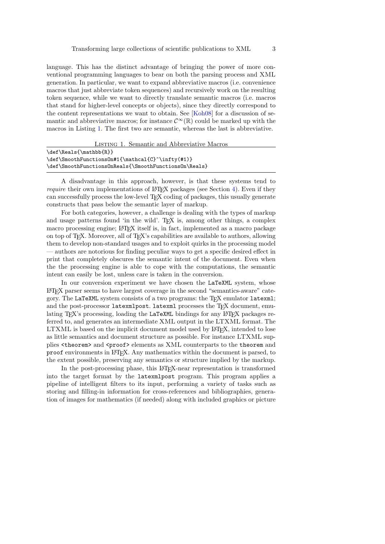language. This has the distinct advantage of bringing the power of more conventional programming languages to bear on both the parsing process and XML generation. In particular, we want to expand abbreviative macros (i.e. convenience macros that just abbreviate token sequences) and recursively work on the resulting token sequence, while we want to directly translate semantic macros (i.e. macros that stand for higher-level concepts or objects), since they directly correspond to the content representations we want to obtain. See [\[Koh08\]](#page-10-5) for a discussion of semantic and abbreviative macros; for instance  $\mathcal{C}^{\infty}(\mathbb{R})$  could be marked up with the macros in Listing [1.](#page-2-0) The first two are semantic, whereas the last is abbreviative.

<span id="page-2-0"></span>

| LISTING 1. Semantic and Abbreviative Macros           |  |  |  |  |
|-------------------------------------------------------|--|--|--|--|
| \def\Reals{\mathbb{R}}                                |  |  |  |  |
| \def\SmoothFunctions0n#1{\mathcal{C}^\infty(#1)}      |  |  |  |  |
| \def\SmoothFunctions0nReals{\SmoothFunctions0n\Reals} |  |  |  |  |

A disadvantage in this approach, however, is that these systems tend to *require* their own implementations of  $\mathbb{F}$ FFX packages (see Section [4\)](#page-6-0). Even if they can successfully process the low-level TEX coding of packages, this usually generate constructs that pass below the semantic layer of markup.

For both categories, however, a challenge is dealing with the types of markup and usage patterns found 'in the wild'. T<sub>EX</sub> is, among other things, a complex macro processing engine; LAT<sub>EX</sub> itself is, in fact, implemented as a macro package on top of T<sub>EX</sub>. Moreover, all of T<sub>EX</sub>'s capabilities are available to authors, allowing them to develop non-standard usages and to exploit quirks in the processing model — authors are notorious for finding peculiar ways to get a specific desired effect in print that completely obscures the semantic intent of the document. Even when the the processing engine is able to cope with the computations, the semantic intent can easily be lost, unless care is taken in the conversion.

In our conversion experiment we have chosen the LaTeXML system, whose LATEX parser seems to have largest coverage in the second "semantics-aware" category. The LaTeXML system consists of a two programs: the TEX emulator latexml; and the post-processor latexmlpost. latexml processes the T<sub>EX</sub> document, emulating T<sub>E</sub>X's processing, loading the LaTeXML bindings for any L<sup>AT</sup>EX packages referred to, and generates an intermediate XML output in the LTXML format. The LTXML is based on the implicit document model used by LAT<sub>EX</sub>, intended to lose as little semantics and document structure as possible. For instance LTXML supplies <theorem> and <proof> elements as XML counterparts to the theorem and proof environments in LATEX. Any mathematics within the document is parsed, to the extent possible, preserving any semantics or structure implied by the markup.

In the post-processing phase, this LAT<sub>E</sub>X-near representation is transformed into the target format by the latexmlpost program. This program applies a pipeline of intelligent filters to its input, performing a variety of tasks such as storing and filling-in information for cross-references and bibliographies, generation of images for mathematics (if needed) along with included graphics or picture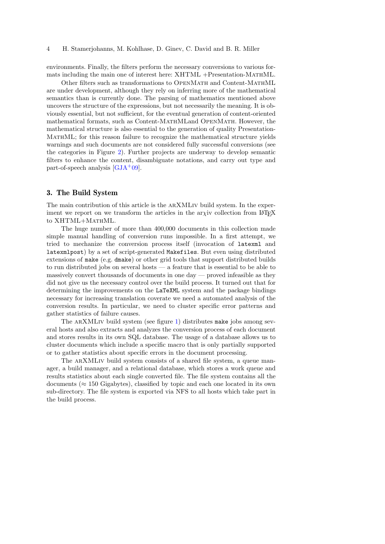environments. Finally, the filters perform the necessary conversions to various formats including the main one of interest here: XHTML +Presentation-MATHML.

Other filters such as transformations to OpenMath and Content-MathML are under development, although they rely on inferring more of the mathematical semantics than is currently done. The parsing of mathematics mentioned above uncovers the structure of the expressions, but not necessarily the meaning. It is obviously essential, but not sufficient, for the eventual generation of content-oriented mathematical formats, such as Content-MathMLand OpenMath. However, the mathematical structure is also essential to the generation of quality Presentation-MathML; for this reason failure to recognize the mathematical structure yields warnings and such documents are not considered fully successful conversions (see the categories in Figure [2\)](#page-5-0). Further projects are underway to develop semantic filters to enhance the content, disambiguate notations, and carry out type and part-of-speech analysis  $[GJA+09]$  $[GJA+09]$ .

### 3. The Build System

The main contribution of this article is the arXMLiv build system. In the experiment we report on we transform the articles in the ar $\chi$ iv collection from LAT<sub>E</sub>X to XHTML+MATHML.

The huge number of more than 400,000 documents in this collection made simple manual handling of conversion runs impossible. In a first attempt, we tried to mechanize the conversion process itself (invocation of latexml and latexmlpost) by a set of script-generated Makefiles. But even using distributed extensions of make (e.g. dmake) or other grid tools that support distributed builds to run distributed jobs on several hosts — a feature that is essential to be able to massively convert thousands of documents in one day — proved infeasible as they did not give us the necessary control over the build process. It turned out that for determining the improvements on the LaTeXML system and the package bindings necessary for increasing translation coverate we need a automated analysis of the conversion results. In particular, we need to cluster specific error patterns and gather statistics of failure causes.

The ARXMLIV build system (see figure [1\)](#page-4-0) distributes make jobs among several hosts and also extracts and analyzes the conversion process of each document and stores results in its own SQL database. The usage of a database allows us to cluster documents which include a specific macro that is only partially supported or to gather statistics about specific errors in the document processing.

The arXMLiv build system consists of a shared file system, a queue manager, a build manager, and a relational database, which stores a work queue and results statistics about each single converted file. The file system contains all the documents ( $\approx 150$  Gigabytes), classified by topic and each one located in its own sub-directory. The file system is exported via NFS to all hosts which take part in the build process.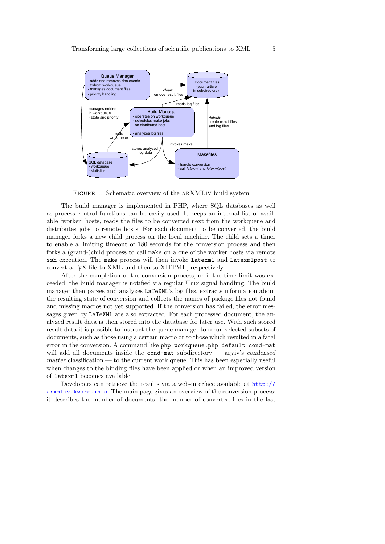

<span id="page-4-0"></span>FIGURE 1. Schematic overview of the ARXMLIV build system

The build manager is implemented in PHP, where SQL databases as well as process control functions can be easily used. It keeps an internal list of available 'worker' hosts, reads the files to be converted next from the workqueue and distributes jobs to remote hosts. For each document to be converted, the build manager forks a new child process on the local machine. The child sets a timer to enable a limiting timeout of 180 seconds for the conversion process and then forks a (grand-)child process to call make on a one of the worker hosts via remote ssh execution. The make process will then invoke latexml and latexmlpost to convert a T<sub>E</sub>X file to XML and then to XHTML, respectively.

After the completion of the conversion process, or if the time limit was exceeded, the build manager is notified via regular Unix signal handling. The build manager then parses and analyzes LaTeXML's log files, extracts information about the resulting state of conversion and collects the names of package files not found and missing macros not yet supported. If the conversion has failed, the error messages given by LaTeXML are also extracted. For each processed document, the analyzed result data is then stored into the database for later use. With such stored result data it is possible to instruct the queue manager to rerun selected subsets of documents, such as those using a certain macro or to those which resulted in a fatal error in the conversion. A command like php workqueue.php default cond-mat will add all documents inside the cond-mat subdirectory — arxiv's condensed matter classification — to the current work queue. This has been especially useful when changes to the binding files have been applied or when an improved version of latexml becomes available.

Developers can retrieve the results via a web-interface available at [http://](http://arxmliv.kwarc.info) [arxmliv.kwarc.info](http://arxmliv.kwarc.info). The main page gives an overview of the conversion process: it describes the number of documents, the number of converted files in the last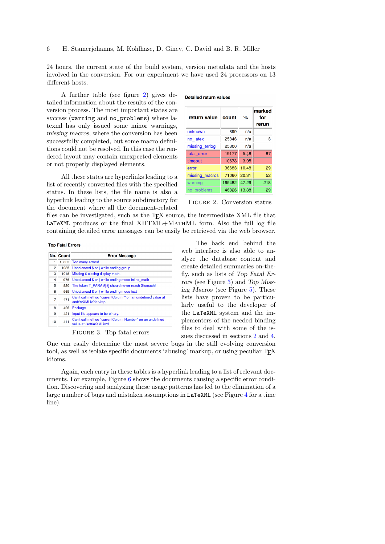24 hours, the current state of the build system, version metadata and the hosts involved in the conversion. For our experiment we have used 24 processors on 13 different hosts.

A further table (see figure [2\)](#page-5-0) gives detailed information about the results of the conversion process. The most important states are success (warning and no\_problems) where latexml has only issued some minor warnings, missing macros, where the conversion has been successfully completed, but some macro definitions could not be resolved. In this case the rendered layout may contain unexpected elements or not properly displayed elements.

All these states are hyperlinks leading to a list of recently converted files with the specified status. In these lists, the file name is also a hyperlink leading to the source subdirectory for the document where all the document-related

**Detailed return values** 

| return value   | count        | %     | marked<br>for<br>rerun |
|----------------|--------------|-------|------------------------|
| unknown        | 399          | n/a   |                        |
| no latex       | 25346        | n/a   | 3                      |
| missing errlog | 25300        | n/a   |                        |
| fatal error    | 19177        | 5.48  | 87                     |
| timeout        | 10673        | 3.05  |                        |
| error          | 36683        | 10.48 | 29                     |
| missing macros | 71060        | 20.31 | 52                     |
| warning        | 165482 47.29 |       | 218                    |
| no problems    | 46826        | 13.38 | 29                     |

<span id="page-5-0"></span>Figure 2. Conversion status

files can be investigated, such as the TEX source, the intermediate XML file that LaTeXML produces or the final XHTML+MathML form. Also the full log file containing detailed error messages can be easily be retrieved via the web browser.

#### **Top Fatal Errors**

|                | No. Count | <b>Error Message</b>                                                                |  |  |
|----------------|-----------|-------------------------------------------------------------------------------------|--|--|
| 1              | 10603     | Too many errors!                                                                    |  |  |
| $\overline{2}$ | 1035      | Unbalanced \$ or } while ending group                                               |  |  |
| 3              | 1018      | Missing \$ closing display math.                                                    |  |  |
| 4              | 976       | Unbalanced \$ or } while ending mode inline math                                    |  |  |
| 5              | 820       | The token T PARAM[#] should never reach Stomach!                                    |  |  |
| 6              | 565       | Unbalanced \$ or } while ending mode text                                           |  |  |
| 7              | 471       | Can't call method "currentColumn" on an undefined value at<br>/soft/arXMLiv/dan/rep |  |  |
| 8              | 426       | Package                                                                             |  |  |
| 9              | 421       | Input file appears to be binary.                                                    |  |  |
| 10             | 411       | Can't call method "currentColumnNumber" on an undefined<br>value at /soft/arXMLiv/d |  |  |

<span id="page-5-1"></span>Figure 3. Top fatal errors

The back end behind the web interface is also able to analyze the database content and create detailed summaries on-thefly, such as lists of Top Fatal Errors (see Figure [3\)](#page-5-1) and Top Missing Macros (see Figure [5\)](#page-6-1). These lists have proven to be particularly useful to the developer of the LaTeXML system and the implementers of the needed binding files to deal with some of the issues discussed in sections [2](#page-1-0) and [4.](#page-6-0)

One can easily determine the most severe bugs in the still evolving conversion tool, as well as isolate specific documents 'abusing' markup, or using peculiar TEX idioms.

Again, each entry in these tables is a hyperlink leading to a list of relevant documents. For example, Figure [6](#page-7-0) shows the documents causing a specific error condition. Discovering and analyzing these usage patterns has led to the elimination of a large number of bugs and mistaken assumptions in LaTeXML (see Figure [4](#page-6-2) for a time line).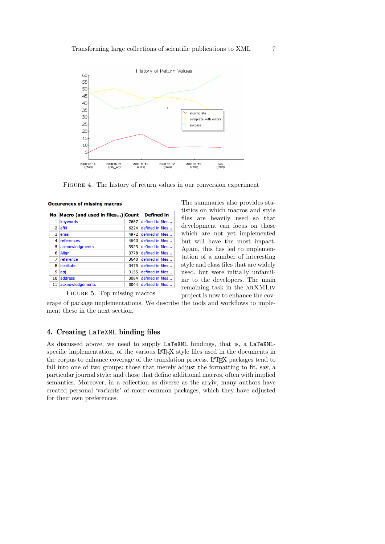

<span id="page-6-2"></span>Figure 4. The history of return values in our conversion experiment

|                | No. Macro (and used in files) Count Defined in |      |                       |
|----------------|------------------------------------------------|------|-----------------------|
|                | keywords                                       |      | 7687 defined in files |
| $\overline{2}$ | laffil                                         |      | 6224 defined in files |
| 3              | lemail                                         |      | 4972 defined in files |
| $\overline{4}$ | references                                     |      | 4643 defined in files |
| 5.             | acknowledgments                                |      | 3923 defined in files |
| 6              | Align                                          | 3778 | defined in files      |
| 7              | reference                                      | 3640 | defined in files      |
| 8              | institute                                      |      | 3475 defined in files |
| 9              | lapj                                           |      | 3155 defined in files |
| 10             | address                                        |      | 3084 defined in files |
| 11             | acknowledgements                               |      | 3044 defined in files |

<span id="page-6-1"></span>Figure 5. Top missing macros

**Occurences of missing macros** 

The summaries also provides statistics on which macros and style files are heavily used so that development can focus on those which are not yet implemented but will have the most impact. Again, this has led to implementation of a number of interesting style and class files that are widely used, but were initially unfamiliar to the developers. The main remaining task in the arXMLiv project is now to enhance the cov-

erage of package implementations. We describe the tools and workflows to implement these in the next section.

# <span id="page-6-0"></span>4. Creating LaTeXML binding files

As discussed above, we need to supply LaTeXML bindings, that is, a LaTeXMLspecific implementation, of the various LAT<sub>EX</sub> style files used in the documents in the corpus to enhance coverage of the translation process. LAT<sub>EX</sub> packages tend to fall into one of two groups: those that merely adjust the formatting to fit, say, a particular journal style; and those that define additional macros, often with implied semantics. Moreover, in a collection as diverse as the ary iv, many authors have created personal 'variants' of more common packages, which they have adjusted for their own preferences.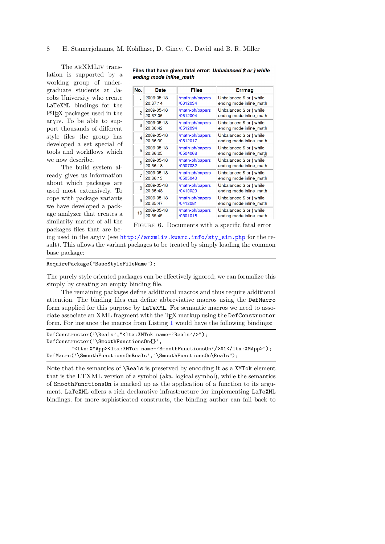The ARXMLIV translation is supported by a working group of undergraduate students at Jacobs University who create LaTeXML bindings for the LATEX packages used in the  $ar\chi$ iv. To be able to support thousands of different style files the group has developed a set special of tools and workflows which we now describe.

The build system already gives us information about which packages are used most extensively. To cope with package variants we have developed a package analyzer that creates a similarity matrix of all the packages files that are be-

| No.            | Date       | Files           | Errmsg                   |
|----------------|------------|-----------------|--------------------------|
| 1              | 2009-05-18 | /math-ph/papers | Unbalanced \$ or } while |
|                | 20:37:14   | /0612034        | ending mode inline math  |
| $\overline{2}$ | 2009-05-18 | /math-ph/papers | Unbalanced \$ or } while |
|                | 20:37:06   | /0612004        | ending mode inline math  |
| 3              | 2009-05-18 | /math-ph/papers | Unbalanced \$ or } while |
|                | 20:36:42   | /0512094        | ending mode inline math  |
| 4              | 2009-05-18 | /math-ph/papers | Unbalanced \$ or } while |
|                | 20:36:39   | /0512017        | ending mode inline math  |
| 5              | 2009-05-18 | /math-ph/papers | Unbalanced \$ or } while |
|                | 20:36:25   | /0504068        | ending mode inline_math  |
| 6              | 2009-05-18 | /math-ph/papers | Unbalanced \$ or } while |
|                | 20:36:18   | /0507032        | ending mode inline math  |
| 7              | 2009-05-18 | /math-ph/papers | Unbalanced \$ or } while |
|                | 20:36:13   | /0505040        | ending mode inline math  |
| 8              | 2009-05-18 | /math-ph/papers | Unbalanced \$ or } while |
|                | 20:35:48   | /0410029        | ending mode inline math  |
| 9              | 2009-05-18 | /math-ph/papers | Unbalanced \$ or } while |
|                | 20:35:47   | /0412081        | ending mode inline math  |
| 10             | 2009-05-18 | /math-ph/papers | Unbalanced \$ or } while |
|                | 20:35:45   | /0501018        | ending mode inline math  |

Files that have given fatal error: Unbalanced \$ or } while ending mode inline math

<span id="page-7-0"></span>Figure 6. Documents with a specific fatal error

ing used in the arxiv (see [http://arxmliv.kwarc.info/sty\\_sim.php](http://arxmliv.kwarc.info/sty_sim.php) for the result). This allows the variant packages to be treated by simply loading the common base package:

### RequirePackage("BaseStyleFileName");

The purely style oriented packages can be effectively ignored; we can formalize this simply by creating an empty binding file.

The remaining packages define additional macros and thus require additional attention. The binding files can define abbreviative macros using the DefMacro form supplied for this purpose by LaTeXML. For semantic macros we need to associate associate an XML fragment with the TEX markup using the DefConstructor form. For instance the macros from Listing [1](#page-2-0) would have the following bindings:

```
DefConstructor('\Reals',"<ltx:XMTok name='Reals'/>");
DefConstructor('\SmoothFunctionsOn{}',
        "<ltx:XMApp><ltx:XMTok name='SmoothFunctionsOn'/>#1</ltx:XMApp>");
DefMacro('\SmoothFunctionsOnReals',"\SmoothFunctionsOn\Reals");
```
Note that the semantics of \Reals is preserved by encoding it as a XMTok element that is the LTXML version of a symbol (aka. logical symbol), while the semantics of SmoothFunctionsOn is marked up as the application of a function to its argument. LaTeXML offers a rich declarative infrastructure for implementing LaTeXML bindings; for more sophisticated constructs, the binding author can fall back to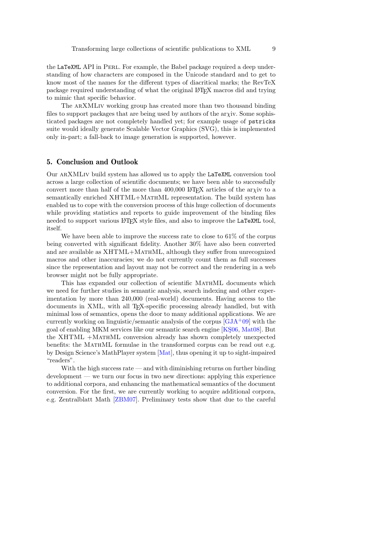the LaTeXML API in Perl. For example, the Babel package required a deep understanding of how characters are composed in the Unicode standard and to get to know most of the names for the different types of diacritical marks; the RevTeX package required understanding of what the original LATEX macros did and trying to mimic that specific behavior.

The ARXMLIV working group has created more than two thousand binding files to support packages that are being used by authors of the ar $\chi$ iv. Some sophisticated packages are not completely handled yet; for example usage of pstricks suite would ideally generate Scalable Vector Graphics (SVG), this is implemented only in-part; a fall-back to image generation is supported, however.

### 5. Conclusion and Outlook

Our arXMLiv build system has allowed us to apply the LaTeXML conversion tool across a large collection of scientific documents; we have been able to successfully convert more than half of the more than 400,000 LATEX articles of the arxiv to a semantically enriched XHTML+MathML representation. The build system has enabled us to cope with the conversion process of this huge collection of documents while providing statistics and reports to guide improvement of the binding files needed to support various LAT<sub>EX</sub> style files, and also to improve the LaTeXML tool, itself.

We have been able to improve the success rate to close to  $61\%$  of the corpus being converted with significant fidelity. Another 30% have also been converted and are available as XHTML+MathML, although they suffer from unrecognized macros and other inaccuracies; we do not currently count them as full successes since the representation and layout may not be correct and the rendering in a web browser might not be fully appropriate.

This has expanded our collection of scientific MATHML documents which we need for further studies in semantic analysis, search indexing and other experimentation by more than 240,000 (real-world) documents. Having access to the documents in XML, with all T<sub>E</sub>X-specific processing already handled, but with minimal loss of semantics, opens the door to many additional applications. We are currently working on linguistic/semantic analysis of the corpus  $[GJA^+09]$  $[GJA^+09]$  with the goal of enabling MKM services like our semantic search engine [KS06, [Mat08\]](#page-10-7). But the XHTML +MathML conversion already has shown completely unexpected benefits: the MathML formulae in the transformed corpus can be read out e.g. by Design Science's MathPlayer system [\[Mat\]](#page-10-8), thus opening it up to sight-impaired "readers".

With the high success rate — and with diminishing returns on further binding development — we turn our focus in two new directions: applying this experience to additional corpora, and enhancing the mathematical semantics of the document conversion. For the first, we are currently working to acquire additional corpora, e.g. Zentralblatt Math [\[ZBM07\]](#page-10-9). Preliminary tests show that due to the careful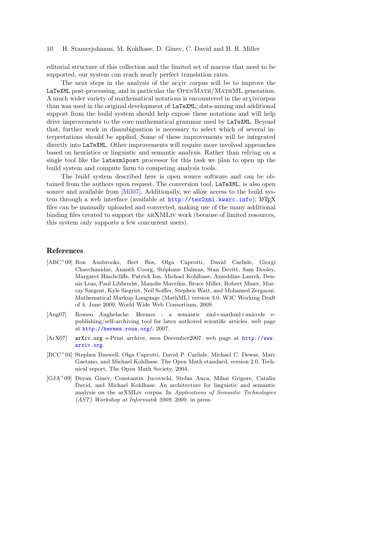#### 10 H. Stamerjohanns, M. Kohlhase, D. Ginev, C. David and B. R. Miller

editorial structure of this collection and the limited set of macros that need to be supported, our system can reach nearly perfect translation rates.

The next steps in the analysis of the arχiv corpus will be to improve the LaTeXML post-processing, and in particular the OPENMATH/MATHML generation. A much wider variety of mathematical notations is encountered in the arxive orpus than was used in the original development of LaTeXML; data-mining and additional support from the build system should help expose these notations and will help drive improvements to the core mathematical grammar used by LaTeXML. Beyond that, further work in disambiguation is necessary to select which of several interpretations should be applied. Some of these improvements will be integrated directly into LaTeXML. Other improvements will require more involved approaches based on heuristics or linguistic and semantic analysis. Rather than relying on a single tool like the latexmlpost processor for this task we plan to open up the build system and compute farm to competing analysis tools.

The build system described here is open source software and can be obtained from the authors upon request. The conversion tool, LaTeXML, is also open source and available from [\[Mil07\]](#page-10-3). Additionally, we allow access to the build system through a web interface (available at <http://tex2xml.kwarc.info>); LATEX files can be manually uploaded and converted, making use of the many additional binding files created to support the arXMLiv work (because of limited resources, this system only supports a few concurrent users).

## References

- <span id="page-9-1"></span>[ABC<sup>+</sup>09] Ron Ausbrooks, Bert Bos, Olga Caprotti, David Carlisle, Giorgi Chavchanidze, Ananth Coorg, Stéphane Dalmas, Stan Devitt, Sam Dooley, Margaret Hinchcliffe, Patrick Ion, Michael Kohlhase, Azzeddine Lazrek, Dennis Leas, Paul Libbrecht, Manolis Mavrikis, Bruce Miller, Robert Miner, Murray Sargent, Kyle Siegrist, Neil Soiffer, Stephen Watt, and Mohamed Zergaoui. Mathematical Markup Language (MathML) version 3.0. W3C Working Draft of 4. June 2009, World Wide Web Consortium, 2009.
- <span id="page-9-3"></span>[Ang07] Romeo Anghelache. Hermes - a semantic xml+mathml+unicode epublishing/self-archiving tool for latex authored scientific articles. web page at <http://hermes.roua.org/>, 2007.
- <span id="page-9-2"></span>[ArX07] arXiv.org e-Print archive, seen December2007. web page at [http://www.](http://www.arxiv.org) [arxiv.org](http://www.arxiv.org).
- <span id="page-9-0"></span>[BCC<sup>+</sup>04] Stephen Buswell, Olga Caprotti, David P. Carlisle, Michael C. Dewar, Marc Gaetano, and Michael Kohlhase. The Open Math standard, version 2.0. Technical report, The Open Math Society, 2004.
- <span id="page-9-4"></span>[GJA<sup>+</sup>09] Deyan Ginev, Constantin Jucovschi, Stefan Anca, Mihai Grigore, Catalin David, and Michael Kohlhase. An architecture for linguistic and semantic analysis on the arXMLiv corpus. In Applications of Semantic Technologies (AST) Workshop at Informatik 2009, 2009. in press.